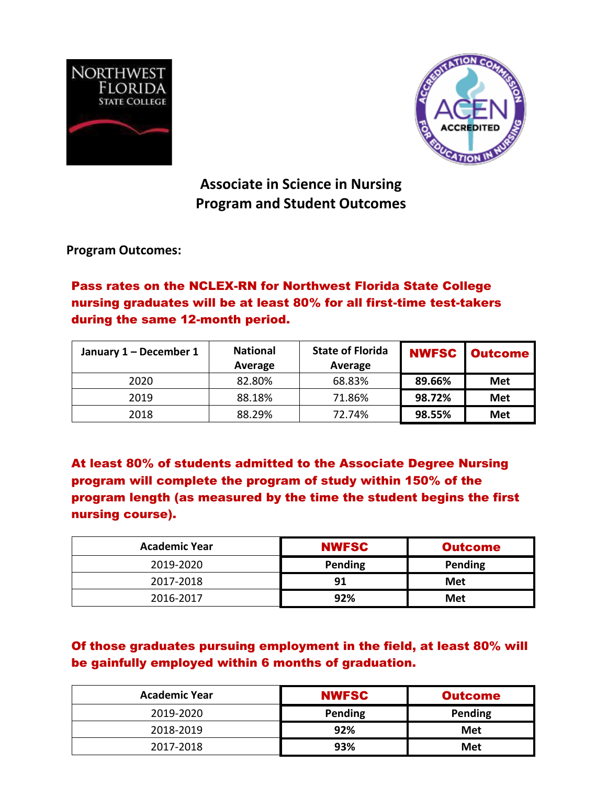



**Associate in Science in Nursing Program and Student Outcomes**

**Program Outcomes:**

## Pass rates on the NCLEX-RN for Northwest Florida State College nursing graduates will be at least 80% for all first-time test-takers during the same 12-month period.

| January 1 - December 1 | <b>National</b><br>Average | <b>State of Florida</b><br>Average |        | <b>NWFSC   Outcome  </b> |
|------------------------|----------------------------|------------------------------------|--------|--------------------------|
| 2020                   | 82.80%                     | 68.83%                             | 89.66% | <b>Met</b>               |
| 2019                   | 88.18%                     | 71.86%                             | 98.72% | <b>Met</b>               |
| 2018                   | 88.29%                     | 72.74%                             | 98.55% | <b>Met</b>               |

At least 80% of students admitted to the Associate Degree Nursing program will complete the program of study within 150% of the program length (as measured by the time the student begins the first nursing course).

| <b>Academic Year</b> | <b>NWFSC</b> | <b>Outcome</b> |  |
|----------------------|--------------|----------------|--|
| 2019-2020            | Pending      | Pending        |  |
| 2017-2018            | 91           | Met            |  |
| 2016-2017            | 92%          | Met            |  |

## Of those graduates pursuing employment in the field, at least 80% will be gainfully employed within 6 months of graduation.

| <b>Academic Year</b> | <b>NWFSC</b> | <b>Outcome</b> |
|----------------------|--------------|----------------|
| 2019-2020            | Pending      | Pending        |
| 2018-2019            | 92%          | Met            |
| 2017-2018            | 93%          | Met            |